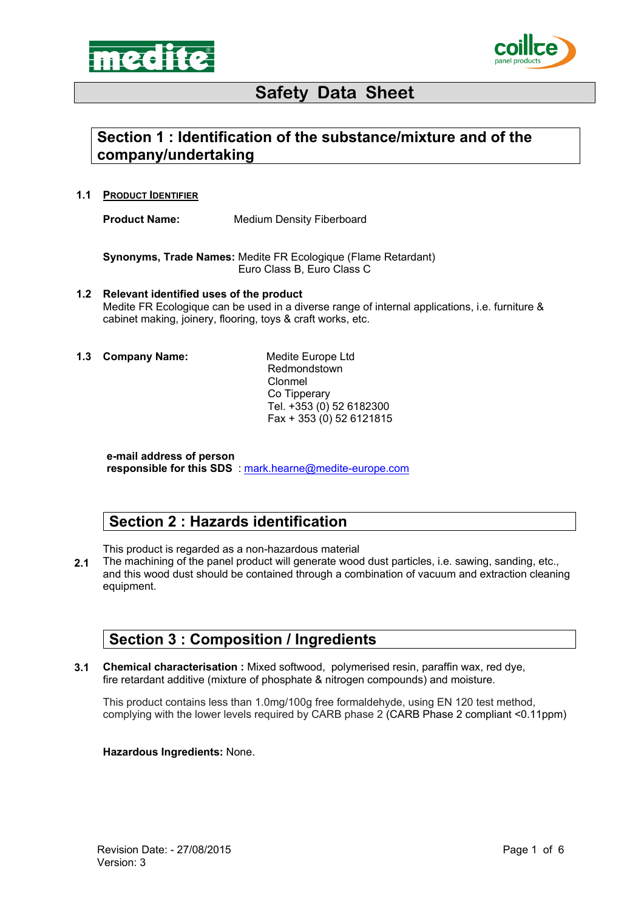



## **Section 1 : Identification of the substance/mixture and of the company/undertaking**

**1.1 PRODUCT IDENTIFIER**

**Product Name:** Medium Density Fiberboard

**Synonyms, Trade Names:** Medite FR Ecologique (Flame Retardant) Euro Class B, Euro Class C

- **1.2 Relevant identified uses of the product**  Medite FR Ecologique can be used in a diverse range of internal applications, i.e. furniture & cabinet making, joinery, flooring, toys & craft works, etc.
- **1.3 Company Name:** Medite Europe Ltd

Redmondstown Clonmel Co Tipperary Tel. +353 (0) 52 6182300 Fax + 353 (0) 52 6121815

**e-mail address of person responsible for this SDS** : mark.hearne@medite-europe.com

### **Section 2 : Hazards identification**

This product is regarded as a non-hazardous material

**2.1**  The machining of the panel product will generate wood dust particles, i.e. sawing, sanding, etc., and this wood dust should be contained through a combination of vacuum and extraction cleaning equipment.

### **Section 3 : Composition / Ingredients**

**3.1 Chemical characterisation :** Mixed softwood, polymerised resin, paraffin wax, red dye, fire retardant additive (mixture of phosphate & nitrogen compounds) and moisture.

This product contains less than 1.0mg/100g free formaldehyde, using EN 120 test method, complying with the lower levels required by CARB phase 2 (CARB Phase 2 compliant <0.11ppm)

#### **Hazardous Ingredients:** None.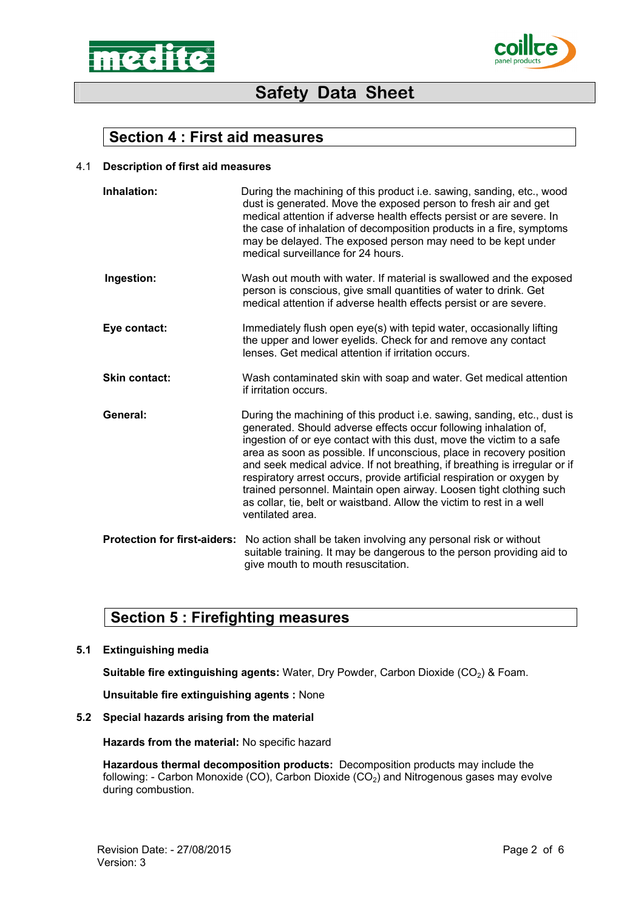



### **Section 4 : First aid measures**

#### 4.1 **Description of first aid measures**

| Inhalation:                         | During the machining of this product i.e. sawing, sanding, etc., wood<br>dust is generated. Move the exposed person to fresh air and get<br>medical attention if adverse health effects persist or are severe. In<br>the case of inhalation of decomposition products in a fire, symptoms<br>may be delayed. The exposed person may need to be kept under<br>medical surveillance for 24 hours.                                                                                                                                                                                                                           |
|-------------------------------------|---------------------------------------------------------------------------------------------------------------------------------------------------------------------------------------------------------------------------------------------------------------------------------------------------------------------------------------------------------------------------------------------------------------------------------------------------------------------------------------------------------------------------------------------------------------------------------------------------------------------------|
| Ingestion:                          | Wash out mouth with water. If material is swallowed and the exposed<br>person is conscious, give small quantities of water to drink. Get<br>medical attention if adverse health effects persist or are severe.                                                                                                                                                                                                                                                                                                                                                                                                            |
| Eye contact:                        | Immediately flush open eye(s) with tepid water, occasionally lifting<br>the upper and lower eyelids. Check for and remove any contact<br>lenses. Get medical attention if irritation occurs.                                                                                                                                                                                                                                                                                                                                                                                                                              |
| <b>Skin contact:</b>                | Wash contaminated skin with soap and water. Get medical attention<br>if irritation occurs.                                                                                                                                                                                                                                                                                                                                                                                                                                                                                                                                |
| General:                            | During the machining of this product i.e. sawing, sanding, etc., dust is<br>generated. Should adverse effects occur following inhalation of,<br>ingestion of or eye contact with this dust, move the victim to a safe<br>area as soon as possible. If unconscious, place in recovery position<br>and seek medical advice. If not breathing, if breathing is irregular or if<br>respiratory arrest occurs, provide artificial respiration or oxygen by<br>trained personnel. Maintain open airway. Loosen tight clothing such<br>as collar, tie, belt or waistband. Allow the victim to rest in a well<br>ventilated area. |
| <b>Protection for first-aiders:</b> | No action shall be taken involving any personal risk or without<br>suitable training. It may be dangerous to the person providing aid to<br>give mouth to mouth resuscitation.                                                                                                                                                                                                                                                                                                                                                                                                                                            |

### **Section 5 : Firefighting measures**

**5.1 Extinguishing media** 

**Suitable fire extinguishing agents: Water, Dry Powder, Carbon Dioxide (CO<sub>2</sub>) & Foam.** 

**Unsuitable fire extinguishing agents :** None

#### **5.2 Special hazards arising from the material**

**Hazards from the material:** No specific hazard

**Hazardous thermal decomposition products:** Decomposition products may include the following: - Carbon Monoxide (CO), Carbon Dioxide (CO<sub>2</sub>) and Nitrogenous gases may evolve during combustion.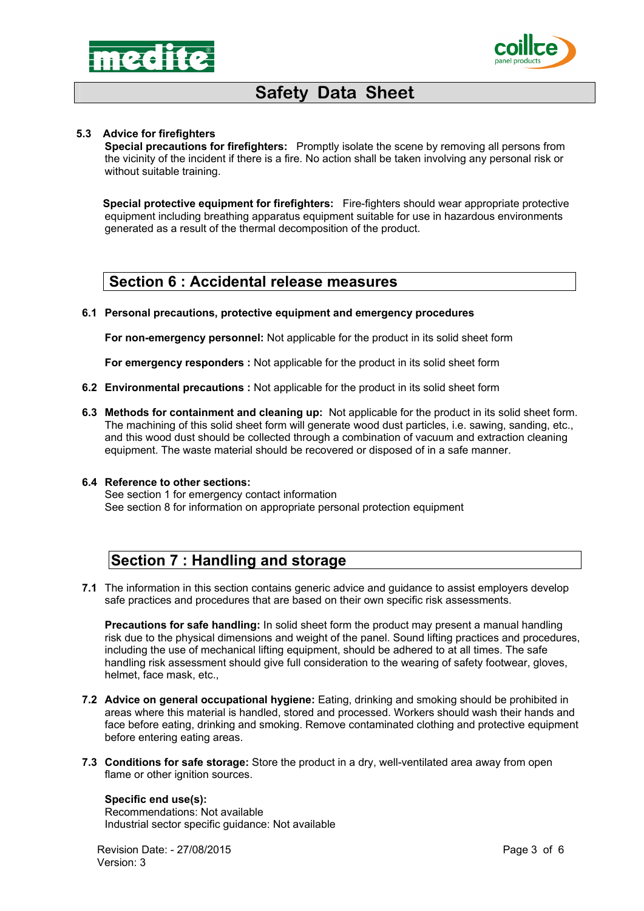



#### **5.3 Advice for firefighters**

**Special precautions for firefighters:** Promptly isolate the scene by removing all persons from the vicinity of the incident if there is a fire. No action shall be taken involving any personal risk or without suitable training.

**Special protective equipment for firefighters:** Fire-fighters should wear appropriate protective equipment including breathing apparatus equipment suitable for use in hazardous environments generated as a result of the thermal decomposition of the product.

#### **Section 6 : Accidental release measures**

#### **6.1 Personal precautions, protective equipment and emergency procedures**

**For non-emergency personnel:** Not applicable for the product in its solid sheet form

**For emergency responders :** Not applicable for the product in its solid sheet form

- **6.2 Environmental precautions :** Not applicable for the product in its solid sheet form
- **6.3 Methods for containment and cleaning up:** Not applicable for the product in its solid sheet form. The machining of this solid sheet form will generate wood dust particles, i.e. sawing, sanding, etc., and this wood dust should be collected through a combination of vacuum and extraction cleaning equipment. The waste material should be recovered or disposed of in a safe manner.

#### **6.4 Reference to other sections:**

See section 1 for emergency contact information See section 8 for information on appropriate personal protection equipment

## **Section 7 : Handling and storage**

**7.1**  The information in this section contains generic advice and guidance to assist employers develop safe practices and procedures that are based on their own specific risk assessments.

**Precautions for safe handling:** In solid sheet form the product may present a manual handling risk due to the physical dimensions and weight of the panel. Sound lifting practices and procedures, including the use of mechanical lifting equipment, should be adhered to at all times. The safe handling risk assessment should give full consideration to the wearing of safety footwear, gloves, helmet, face mask, etc.,

- **7.2 Advice on general occupational hygiene:** Eating, drinking and smoking should be prohibited in areas where this material is handled, stored and processed. Workers should wash their hands and face before eating, drinking and smoking. Remove contaminated clothing and protective equipment before entering eating areas.
- **7.3 Conditions for safe storage:** Store the product in a dry, well-ventilated area away from open flame or other ignition sources.

#### **Specific end use(s):**

Recommendations: Not available Industrial sector specific guidance: Not available

Revision Date: - 27/08/2015 **Page 3 of 6** Version: 3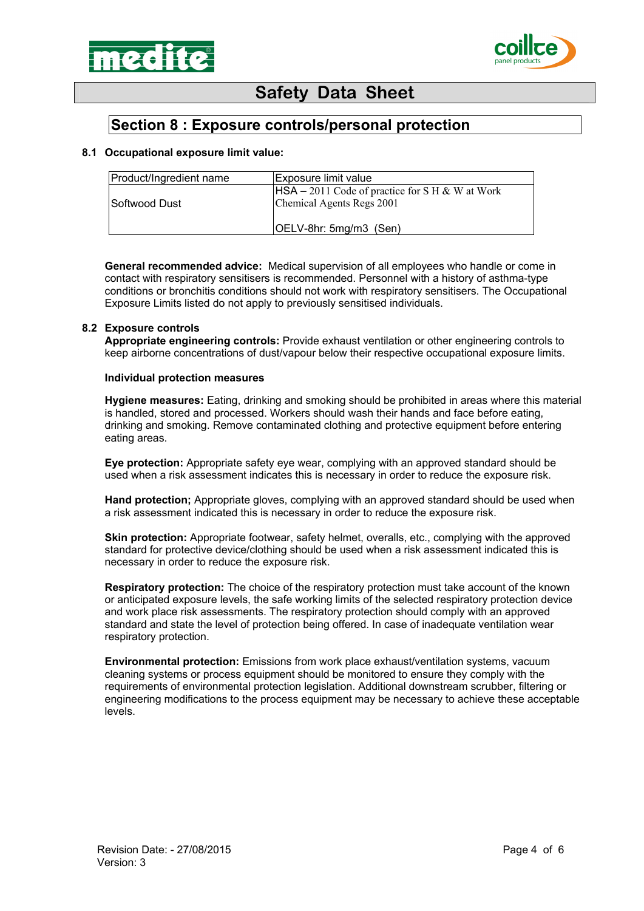



### **Section 8 : Exposure controls/personal protection**

#### **8.1 Occupational exposure limit value:**

| Product/Ingredient name | Exposure limit value                                                           |
|-------------------------|--------------------------------------------------------------------------------|
| ISoftwood Dust          | $HSA - 2011$ Code of practice for S H & W at Work<br>Chemical Agents Regs 2001 |
|                         | OELV-8hr: 5mg/m3 (Sen)                                                         |

**General recommended advice:** Medical supervision of all employees who handle or come in contact with respiratory sensitisers is recommended. Personnel with a history of asthma-type conditions or bronchitis conditions should not work with respiratory sensitisers. The Occupational Exposure Limits listed do not apply to previously sensitised individuals.

#### **8.2 Exposure controls**

**Appropriate engineering controls:** Provide exhaust ventilation or other engineering controls to keep airborne concentrations of dust/vapour below their respective occupational exposure limits.

#### **Individual protection measures**

**Hygiene measures:** Eating, drinking and smoking should be prohibited in areas where this material is handled, stored and processed. Workers should wash their hands and face before eating, drinking and smoking. Remove contaminated clothing and protective equipment before entering eating areas.

**Eye protection:** Appropriate safety eye wear, complying with an approved standard should be used when a risk assessment indicates this is necessary in order to reduce the exposure risk.

**Hand protection;** Appropriate gloves, complying with an approved standard should be used when a risk assessment indicated this is necessary in order to reduce the exposure risk.

**Skin protection:** Appropriate footwear, safety helmet, overalls, etc., complying with the approved standard for protective device/clothing should be used when a risk assessment indicated this is necessary in order to reduce the exposure risk.

**Respiratory protection:** The choice of the respiratory protection must take account of the known or anticipated exposure levels, the safe working limits of the selected respiratory protection device and work place risk assessments. The respiratory protection should comply with an approved standard and state the level of protection being offered. In case of inadequate ventilation wear respiratory protection.

**Environmental protection:** Emissions from work place exhaust/ventilation systems, vacuum cleaning systems or process equipment should be monitored to ensure they comply with the requirements of environmental protection legislation. Additional downstream scrubber, filtering or engineering modifications to the process equipment may be necessary to achieve these acceptable levels.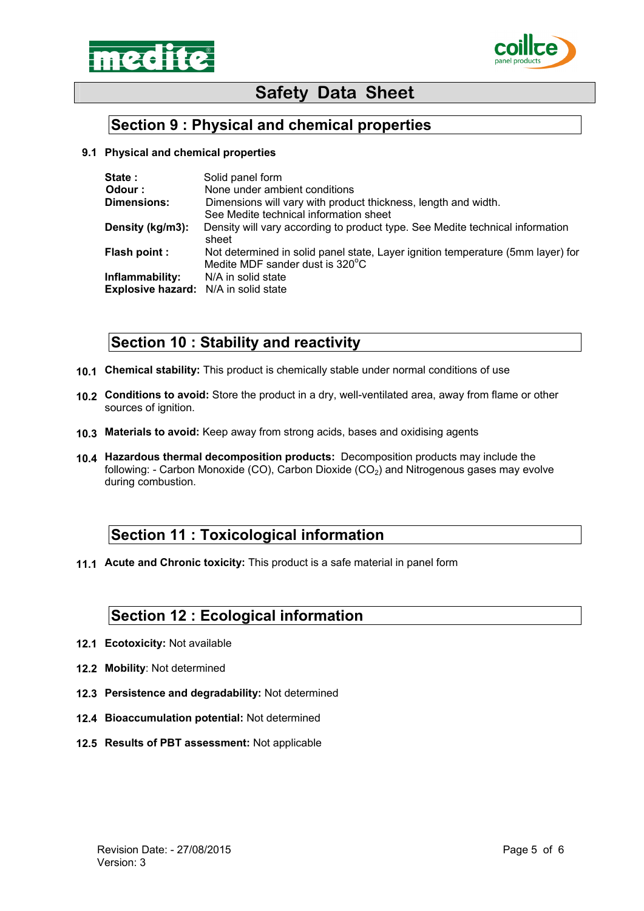



## **Section 9 : Physical and chemical properties**

#### **9.1 Physical and chemical properties**

| State:                               | Solid panel form                                                                                                   |
|--------------------------------------|--------------------------------------------------------------------------------------------------------------------|
| Odour:                               | None under ambient conditions                                                                                      |
| <b>Dimensions:</b>                   | Dimensions will vary with product thickness, length and width.                                                     |
|                                      | See Medite technical information sheet                                                                             |
| Density (kg/m3):                     | Density will vary according to product type. See Medite technical information<br>sheet                             |
| Flash point :                        | Not determined in solid panel state, Layer ignition temperature (5mm layer) for<br>Medite MDF sander dust is 320°C |
| Inflammability:                      | N/A in solid state                                                                                                 |
| Explosive hazard: N/A in solid state |                                                                                                                    |

## **Section 10 : Stability and reactivity**

- **10.1 Chemical stability:** This product is chemically stable under normal conditions of use
- **10.2 Conditions to avoid:** Store the product in a dry, well-ventilated area, away from flame or other sources of ignition.
- **10.3 Materials to avoid:** Keep away from strong acids, bases and oxidising agents
- **10.4 Hazardous thermal decomposition products:** Decomposition products may include the following: - Carbon Monoxide (CO), Carbon Dioxide ( $CO<sub>2</sub>$ ) and Nitrogenous gases may evolve during combustion.

### **Section 11 : Toxicological information**

**11.1 Acute and Chronic toxicity:** This product is a safe material in panel form

### **Section 12 : Ecological information**

- **12.1 Ecotoxicity:** Not available
- **12.2 Mobility**: Not determined
- **12.3 Persistence and degradability:** Not determined
- **12.4 Bioaccumulation potential:** Not determined
- **12.5 Results of PBT assessment:** Not applicable